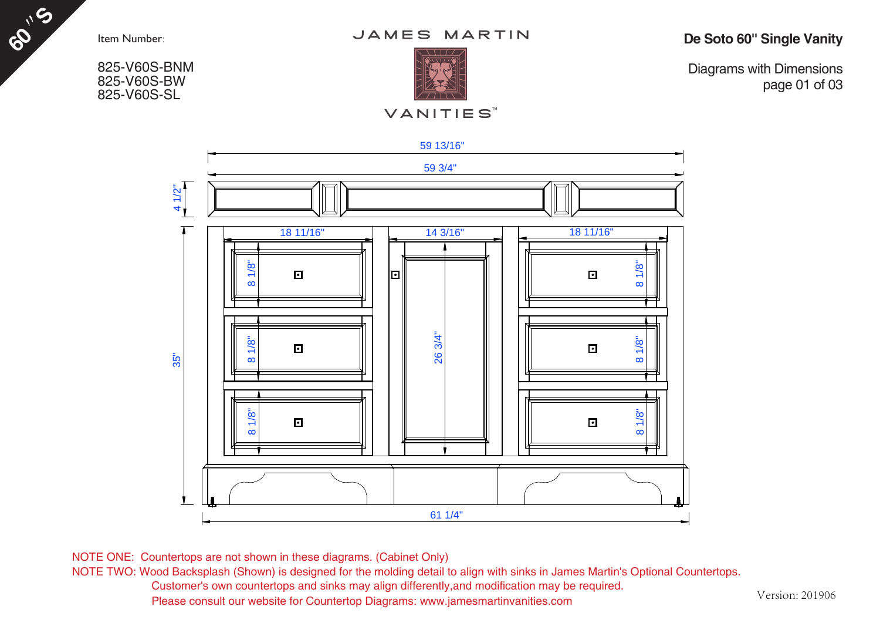**60 S**

825-V60S-BNM 825-V60S-BW 825-V60S-SL



**De Soto 60'' Single Vanity**

**VANITIES**<sup>™</sup>

Diagrams with Dimensions page 01 of 03



NOTE ONE: Countertops are not shown in these diagrams. (Cabinet Only)

NOTE TWO: Wood Backsplash (Shown) is designed for the molding detail to align with sinks in James Martin's Optional Countertops. Customer's own countertops and sinks may align differently,and modification may be required. Please consult our website for Countertop Diagrams: www.jamesmartinvanities.com

Version: 201906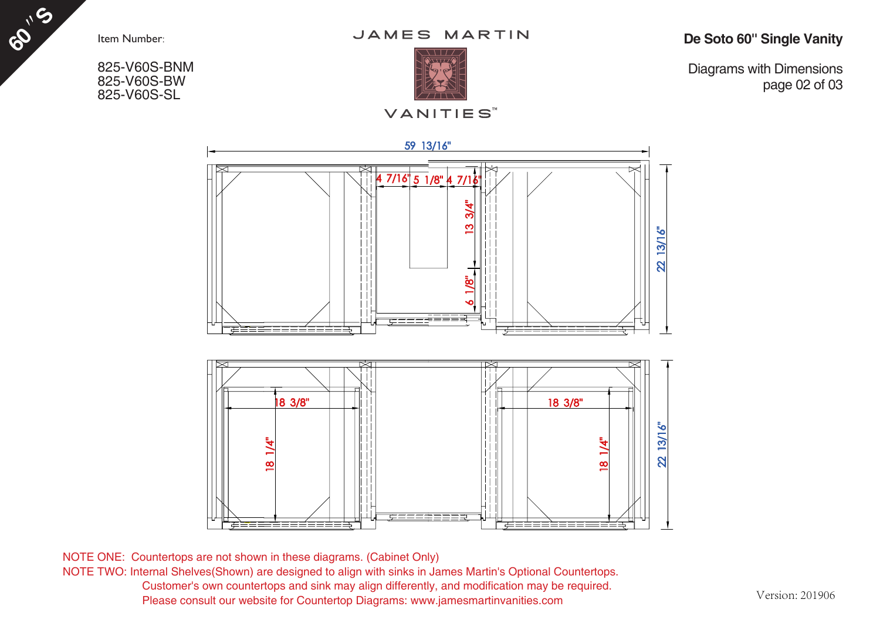**60 S**

825-V60S-BNM 825-V60S-BW 825-V60S-SL

JAMES MARTIN

**De Soto 60'' Single Vanity**

Diagrams with Dimensions page 02 of 03



NOTE ONE: Countertops are not shown in these diagrams. (Cabinet Only) NOTE TWO: Internal Shelves(Shown) are designed to align with sinks in James Martin's Optional Countertops. Customer's own countertops and sink may align differently, and modification may be required. Please consult our website for Countertop Diagrams: www.jamesmartinvanities.com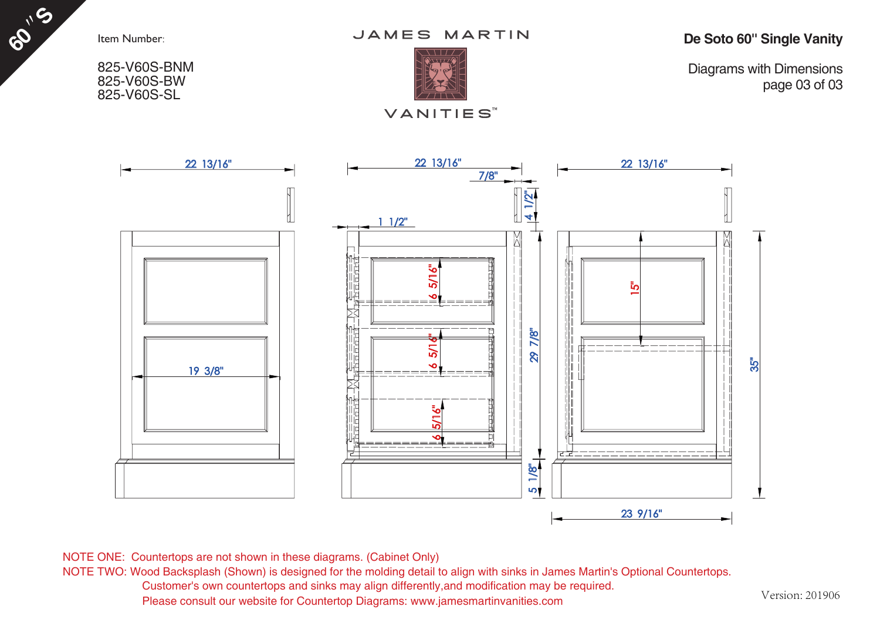**60 S**

825-V60S-BNM 825-V60S-BW 825-V60S-SL

![](_page_2_Picture_2.jpeg)

**De Soto 60'' Single Vanity**

![](_page_2_Picture_4.jpeg)

## **VANITIES**<sup>™</sup>

Diagrams with Dimensions page 03 of 03

![](_page_2_Figure_7.jpeg)

NOTE ONE: Countertops are not shown in these diagrams. (Cabinet Only)

NOTE TWO: Wood Backsplash (Shown) is designed for the molding detail to align with sinks in James Martin's Optional Countertops.

Customer's own countertops and sinks may align differently,and modification may be required.

Please consult our website for Countertop Diagrams: www.jamesmartinvanities.com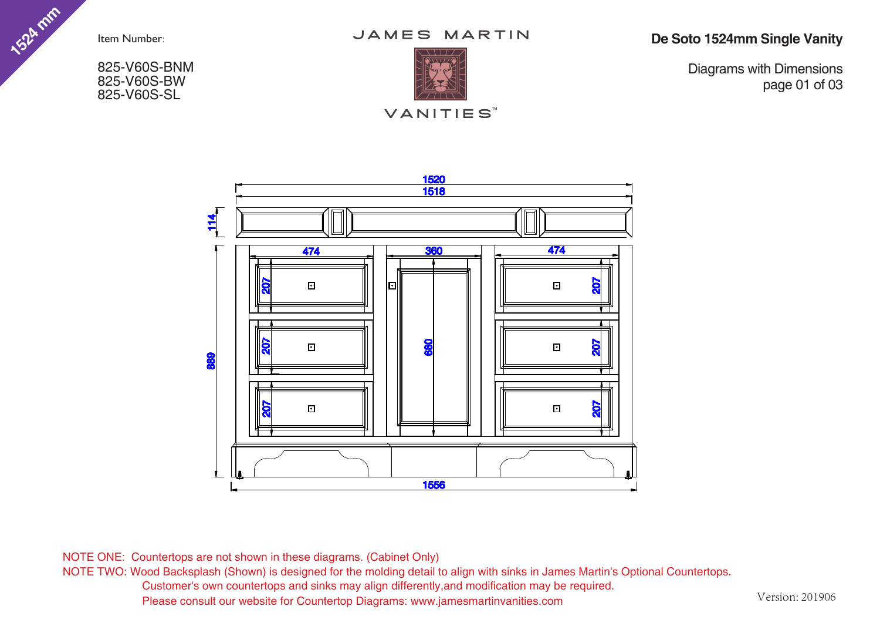**1524 mm**

825-V60S-BNM 825-V60S-BW 825-V60S-SL

JAMES MARTIN

![](_page_3_Picture_3.jpeg)

**De Soto 1524mm Single Vanity**

Diagrams with Dimensions page 01 of 03

![](_page_3_Figure_6.jpeg)

NOTE ONE: Countertops are not shown in these diagrams. (Cabinet Only)

NOTE TWO: Wood Backsplash (Shown) is designed for the molding detail to align with sinks in James Martin's Optional Countertops. Customer's own countertops and sinks may align differently,and modification may be required. Please consult our website for Countertop Diagrams: www.jamesmartinvanities.com